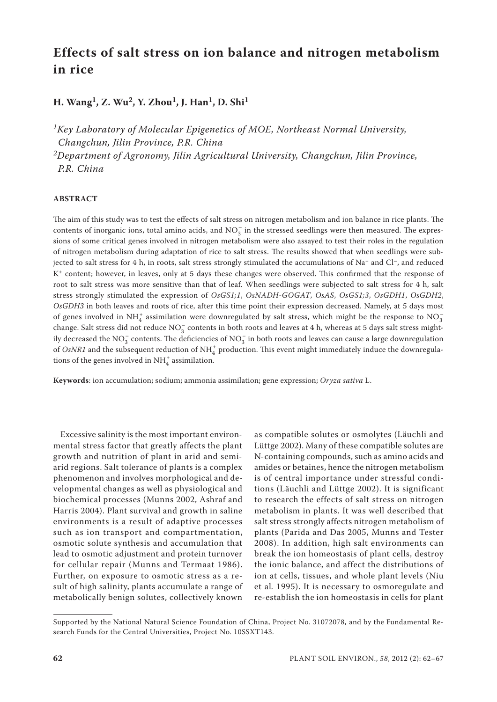# **Effects of salt stress on ion balance and nitrogen metabolism in rice**

## **H. Wang1, Z. Wu2, Y. Zhou1, J. Han1, D. Shi1**

*1Key Laboratory of Molecular Epigenetics of MOE, Northeast Normal University, Changchun, Jilin Province, P.R. China*

*2Department of Agronomy, Jilin Agricultural University, Changchun, Jilin Province, P.R. China*

### **ABSTRACT**

The aim of this study was to test the effects of salt stress on nitrogen metabolism and ion balance in rice plants. The contents of inorganic ions, total amino acids, and  $NO_3^-$  in the stressed seedlings were then measured. The expressions of some critical genes involved in nitrogen metabolism were also assayed to test their roles in the regulation of nitrogen metabolism during adaptation of rice to salt stress. The results showed that when seedlings were subjected to salt stress for 4 h, in roots, salt stress strongly stimulated the accumulations of Na<sup>+</sup> and Cl<sup>-</sup>, and reduced K+ content; however, in leaves, only at 5 days these changes were observed. This confirmed that the response of root to salt stress was more sensitive than that of leaf. When seedlings were subjected to salt stress for 4 h, salt stress strongly stimulated the expression of *OsGS1;1*, *OsNADH-GOGAT*, *OsAS*, *OsGS1;3*, *OsGDH1*, *OsGDH2*, *OsGDH3* in both leaves and roots of rice, after this time point their expression decreased. Namely, at 5 days most of genes involved in NH<sup>+</sup><sub>4</sub> assimilation were downregulated by salt stress, which might be the response to NO<sub>3</sub> change. Salt stress did not reduce  $NO_3^-$  contents in both roots and leaves at 4 h, whereas at 5 days salt stress mightily decreased the NO<sub>3</sub> contents. The deficiencies of NO<sub>3</sub> in both roots and leaves can cause a large downregulation of *OsNR1* and the subsequent reduction of  $NH_4^+$  production. This event might immediately induce the downregulations of the genes involved in  $\mathrm{NH}_4^+$  assimilation.

**Keywords**: ion accumulation; sodium; ammonia assimilation; gene expression; *Oryza sativa* L.

Excessive salinity is the most important environmental stress factor that greatly affects the plant growth and nutrition of plant in arid and semiarid regions. Salt tolerance of plants is a complex phenomenon and involves morphological and developmental changes as well as physiological and biochemical processes (Munns 2002, Ashraf and Harris 2004). Plant survival and growth in saline environments is a result of adaptive processes such as ion transport and compartmentation, osmotic solute synthesis and accumulation that lead to osmotic adjustment and protein turnover for cellular repair (Munns and Termaat 1986). Further, on exposure to osmotic stress as a result of high salinity, plants accumulate a range of metabolically benign solutes, collectively known

as compatible solutes or osmolytes (Läuchli and Lüttge 2002). Many of these compatible solutes are N-containing compounds, such as amino acids and amides or betaines, hence the nitrogen metabolism is of central importance under stressful conditions (Läuchli and Lüttge 2002). It is significant to research the effects of salt stress on nitrogen metabolism in plants. It was well described that salt stress strongly affects nitrogen metabolism of plants (Parida and Das 2005, Munns and Tester 2008). In addition, high salt environments can break the ion homeostasis of plant cells, destroy the ionic balance, and affect the distributions of ion at cells, tissues, and whole plant levels (Niu et al*.* 1995). It is necessary to osmoregulate and re-establish the ion homeostasis in cells for plant

Supported by the National Natural Science Foundation of China, Project No. 31072078, and by the Fundamental Research Funds for the Central Universities, Project No. 10SSXT143.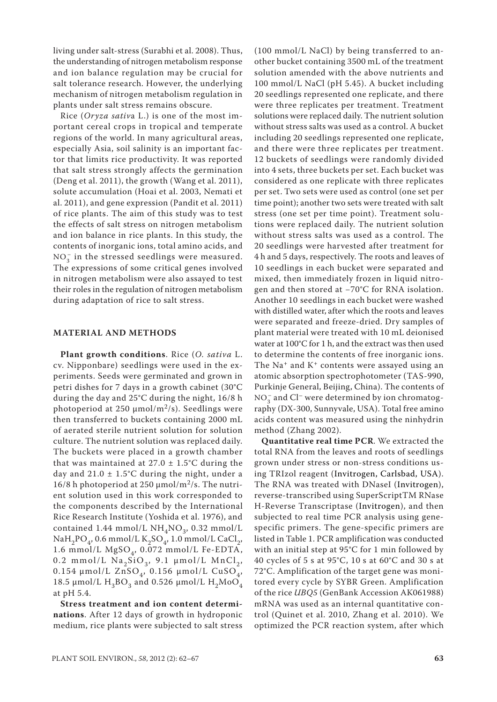living under salt-stress (Surabhi et al. 2008). Thus, the understanding of nitrogen metabolism response and ion balance regulation may be crucial for salt tolerance research. However, the underlying mechanism of nitrogen metabolism regulation in plants under salt stress remains obscure.

Rice (*Oryza sativ*a L.) is one of the most important cereal crops in tropical and temperate regions of the world. In many agricultural areas, especially Asia, soil salinity is an important factor that limits rice productivity. It was reported that salt stress strongly affects the germination (Deng et al. 2011), the growth (Wang et al. 2011), solute accumulation (Hoai et al. 2003, Nemati et al. 2011), and gene expression (Pandit et al. 2011) of rice plants. The aim of this study was to test the effects of salt stress on nitrogen metabolism and ion balance in rice plants. In this study, the contents of inorganic ions, total amino acids, and  $NO<sub>3</sub><sup>-</sup>$  in the stressed seedlings were measured. The expressions of some critical genes involved in nitrogen metabolism were also assayed to test their roles in the regulation of nitrogen metabolism during adaptation of rice to salt stress.

#### **MATERIAL AND METHODS**

**Plant growth conditions**. Rice (*O. sativa* L. cv. Nipponbare) seedlings were used in the experiments. Seeds were germinated and grown in petri dishes for 7 days in a growth cabinet (30°C during the day and 25°C during the night, 16/8 h photoperiod at 250  $\mu$ mol/m<sup>2</sup>/s). Seedlings were then transferred to buckets containing 2000 mL of aerated sterile nutrient solution for solution culture. The nutrient solution was replaced daily. The buckets were placed in a growth chamber that was maintained at  $27.0 \pm 1.5^{\circ}$ C during the day and  $21.0 \pm 1.5^{\circ}$ C during the night, under a 16/8 h photoperiod at 250 μmol/m<sup>2</sup>/s. The nutrient solution used in this work corresponded to the components described by the International Rice Research Institute (Yoshida et al. 1976), and contained 1.44 mmol/L  $\rm NH_4NO_3$ , 0.32 mmol/L  $\mathrm{NaH_{2}PO_{4}}$ 0.6 mmol/L $\mathrm{K_{2}SO_{4}}$ 1.0 mmol/L $\mathrm{CaCl_{2}}$ 1.6 mmol/L  $MgSO<sub>4</sub>$ , 0.072 mmol/L Fe-EDTA, 0.2 mmol/L  $\text{Na}_2\text{SiO}_3$ , 9.1  $\mu$ mol/L  $\text{MnCl}_2$ , 0.154 μmol/L  $ZnSO_4$ , 0.156 μmol/L CuSO<sub>4</sub>, 18.5 μmol/L  $H_3BO_3$  and 0.526 μmol/L  $H_2MoO_4$ at pH 5.4.

**Stress treatment and ion content determinations**. After 12 days of growth in hydroponic medium, rice plants were subjected to salt stress

(100 mmol/L NaCl) by being transferred to another bucket containing 3500 mL of the treatment solution amended with the above nutrients and 100 mmol/L NaCl (pH 5.45). A bucket including 20 seedlings represented one replicate, and there were three replicates per treatment. Treatment solutions were replaced daily. The nutrient solution without stress salts was used as a control. A bucket including 20 seedlings represented one replicate, and there were three replicates per treatment. 12 buckets of seedlings were randomly divided into 4 sets, three buckets per set. Each bucket was considered as one replicate with three replicates per set. Two sets were used as control (one set per time point); another two sets were treated with salt stress (one set per time point). Treatment solutions were replaced daily. The nutrient solution without stress salts was used as a control. The 20 seedlings were harvested after treatment for 4 h and 5 days, respectively. The roots and leaves of 10 seedlings in each bucket were separated and mixed, then immediately frozen in liquid nitrogen and then stored at −70°C for RNA isolation. Another 10 seedlings in each bucket were washed with distilled water, after which the roots and leaves were separated and freeze-dried. Dry samples of plant material were treated with 10 mL deionised water at 100°C for 1 h, and the extract was then used to determine the contents of free inorganic ions. The  $Na<sup>+</sup>$  and  $K<sup>+</sup>$  contents were assayed using an atomic absorption spectrophotometer (TAS-990, Purkinje General, Beijing, China). The contents of  $\rm NO_3^-$  and Cl $^-$  were determined by ion chromatography (DX-300, Sunnyvale, USA). Total free amino acids content was measured using the ninhydrin method (Zhang 2002).

**Quantitative real time PCR**. We extracted the total RNA from the leaves and roots of seedlings grown under stress or non-stress conditions using TRIzol reagent (Invitrogen, Carlsbad, USA). The RNA was treated with DNaseI (Invitrogen), reverse-transcribed using SuperScriptTM RNase H-Reverse Transcriptase (Invitrogen), and then subjected to real time PCR analysis using genespecific primers. The gene-specific primers are listed in Table 1. PCR amplification was conducted with an initial step at 95°C for 1 min followed by 40 cycles of 5 s at 95°C, 10 s at 60°C and 30 s at 72°C. Amplification of the target gene was monitored every cycle by SYBR Green. Amplification of the rice *UBQ5* (GenBank Accession AK061988) mRNA was used as an internal quantitative control (Quinet et al. 2010, Zhang et al. 2010). We optimized the PCR reaction system, after which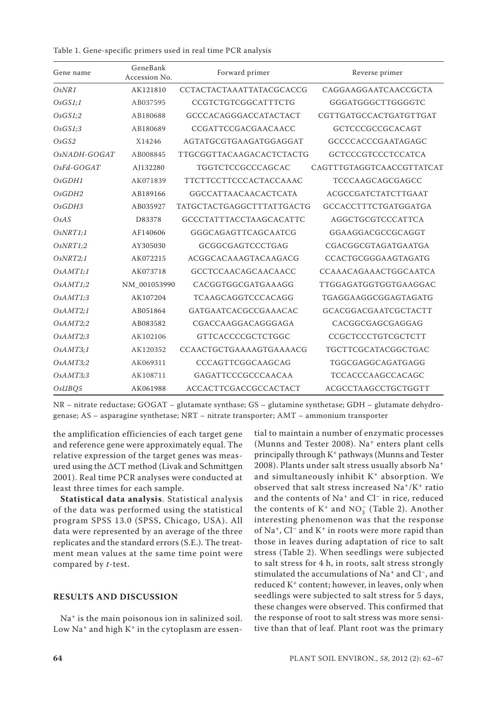Table 1. Gene-specific primers used in real time PCR analysis

| Gene name                       | GeneBank<br>Accession No. | Forward primer                   | Reverse primer             |  |  |
|---------------------------------|---------------------------|----------------------------------|----------------------------|--|--|
| OsNR1                           | AK121810                  | <b>CCTACTACTAAATTATACGCACCG</b>  | CAGGAAGGAATCAACCGCTA       |  |  |
| OsGS1;1                         | AB037595                  | CCGTCTGTCGGCATTTCTG              | GGGATGGGCTTGGGGTC          |  |  |
| OsGS1;2                         | AB180688                  | GCCCACAGGGACCATACTACT            | CGTTGATGCCACTGATGTTGAT     |  |  |
| OsGS1;3                         | AB180689                  | CCGATTCCGACGAACAACC              | GCTCCCGCCGCACAGT           |  |  |
| OsGS2                           | X14246                    | AGTATGCGTGAAGATGGAGGAT           | GCCCCACCCGAATAGAGC         |  |  |
| OsNADH-GOGAT                    | AB008845                  | <b>TTGCGGTTACAAGACACTCTACTG</b>  | <b>GCTCCCGTCCCTCCATCA</b>  |  |  |
| $OsFd-GOGAT$                    | AJ132280                  | TGGTCTCCGCCCAGCAC                | CAGTTTGTAGGTCAACCGTTATCAT  |  |  |
| OsGDH1                          | AK071839                  | <b>TTCTTCCTTCCCACTACCAAAC</b>    | TCCCAAGCAGCGAGCC           |  |  |
| OsGDH2                          | AB189166                  | <b>GGCCATTAACAACACTCATA</b>      | <b>ACGCCGATCTATCTTGAAT</b> |  |  |
| O <sub>s</sub> GDH <sub>3</sub> | AB035927                  | <b>TATGCTACTGAGGCTTTATTGACTG</b> | GCCACCTTTCTGATGGATGA       |  |  |
| OsAS                            | D83378                    | <b>GCCCTATTTACCTAAGCACATTC</b>   | AGGCTGCGTCCCATTCA          |  |  |
| OsNRT1;1                        | AF140606                  | GGGCAGAGTTCAGCAATCG              | GGAAGGACGCCGCAGGT          |  |  |
| OsNRT1;2                        | AY305030                  | GCGGCGAGTCCCTGAG                 | CGACGGCGTAGATGAATGA        |  |  |
| OsNRT2;1                        | AK072215                  | ACGGCACAAAGTACAAGACG             | CCACTGCGGGAAGTAGATG        |  |  |
| OsAMTI;1                        | AK073718                  | GCCTCCAACAGCAACAACC              | CCAAACAGAAACTGGCAATCA      |  |  |
| OsAMTI;2                        | NM 001053990              | CACGGTGGCGATGAAAGG               | TTGGAGATGGTGGTGAAGGAC      |  |  |
| OsAMTI;3                        | AK107204                  | TCAAGCAGGTCCCACAGG               | TGAGGAAGGCGGAGTAGATG       |  |  |
| OsAMT2;1                        | AB051864                  | GATGAATCACGCCGAAACAC             | GCACGGACGAATCGCTACTT       |  |  |
| OsAMT2;2                        | AB083582                  | CGACCAAGGACAGGGAGA               | CACGGCGAGCGAGGAG           |  |  |
| OsAMT2;3                        | AK102106                  | GTTCACCCCGCTCTGGC                | CCGCTCCCTGTCGCTCTT         |  |  |
| OsAMT3;1                        | AK120352                  | CCAACTGCTGAAAAGTGAAAACG          | TGCTTCGCATACGGCTGAC        |  |  |
| OsAMT3;2                        | AK069311                  | CCCAGTTCGGCAAGCAG                | TGGCGAGGCAGATGAGG          |  |  |
| OsAMT3;3                        | AK108711                  | GAGATTCCCGCCCAACAA               | <b>TCCACCCAAGCCACAGC</b>   |  |  |
| OsUBQ5                          | AK061988                  | <b>ACCACTTCGACCGCCACTACT</b>     | ACGCCTAAGCCTGCTGGTT        |  |  |

NR – nitrate reductase; GOGAT – glutamate synthase; GS – glutamine synthetase; GDH – glutamate dehydrogenase; AS – asparagine synthetase; NRT – nitrate transporter; AMT – ammonium transporter

the amplification efficiencies of each target gene and reference gene were approximately equal. The relative expression of the target genes was measured using the ∆CT method (Livak and Schmittgen 2001). Real time PCR analyses were conducted at least three times for each sample.

**Statistical data analysis**. Statistical analysis of the data was performed using the statistical program SPSS 13.0 (SPSS, Chicago, USA). All data were represented by an average of the three replicates and the standard errors (S.E.). The treatment mean values at the same time point were compared by *t*-test.

#### **RESULTS AND DISCUSSION**

Na+ is the main poisonous ion in salinized soil. Low  $Na<sup>+</sup>$  and high  $K<sup>+</sup>$  in the cytoplasm are essen-

tial to maintain a number of enzymatic processes (Munns and Tester 2008). Na<sup>+</sup> enters plant cells principally through K+ pathways (Munns and Tester 2008). Plants under salt stress usually absorb Na<sup>+</sup> and simultaneously inhibit  $K^+$  absorption. We observed that salt stress increased Na+/K+ ratio and the contents of  $Na<sup>+</sup>$  and  $Cl<sup>-</sup>$  in rice, reduced the contents of  $K^+$  and  $NO_3^-$  (Table 2). Another interesting phenomenon was that the response of  $Na<sup>+</sup>$ , Cl<sup>-</sup> and K<sup>+</sup> in roots were more rapid than those in leaves during adaptation of rice to salt stress (Table 2). When seedlings were subjected to salt stress for 4 h, in roots, salt stress strongly stimulated the accumulations of Na<sup>+</sup> and Cl<sup>-</sup>, and reduced K+ content; however, in leaves, only when seedlings were subjected to salt stress for 5 days, these changes were observed. This confirmed that the response of root to salt stress was more sensitive than that of leaf. Plant root was the primary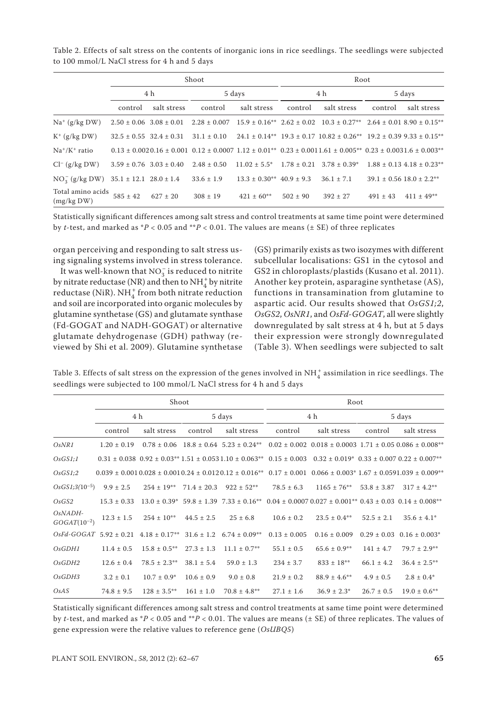Table 2. Effects of salt stress on the contents of inorganic ions in rice seedlings. The seedlings were subjected to 100 mmol/L NaCl stress for 4 h and 5 days

|                                 | Shoot                          |                                                 |                                                  |                                     | Root         |                                                                                                                                              |              |                                   |  |
|---------------------------------|--------------------------------|-------------------------------------------------|--------------------------------------------------|-------------------------------------|--------------|----------------------------------------------------------------------------------------------------------------------------------------------|--------------|-----------------------------------|--|
|                                 | 4 h                            |                                                 | 5 days                                           |                                     | 4 h          |                                                                                                                                              | 5 days       |                                   |  |
|                                 | control                        | salt stress                                     | control                                          | salt stress                         | control      | salt stress                                                                                                                                  | control      | salt stress                       |  |
| $Na^+$ (g/kg DW)                |                                |                                                 | $2.50 \pm 0.06$ $3.08 \pm 0.01$ $2.28 \pm 0.007$ |                                     |              | $15.9 \pm 0.16^{**}$ $2.62 \pm 0.02$ $10.3 \pm 0.27^{**}$ $2.64 \pm 0.01$ $8.90 \pm 0.15^{**}$                                               |              |                                   |  |
| $K^+$ (g/kg DW)                 |                                |                                                 | $32.5 \pm 0.55$ $32.4 \pm 0.31$ $31.1 \pm 0.10$  |                                     |              | $24.1 \pm 0.14**$ 19.3 $\pm$ 0.17 10.82 $\pm$ 0.26** 19.2 $\pm$ 0.39 9.33 $\pm$ 0.15**                                                       |              |                                   |  |
| $Na^+/K^+$ ratio                |                                |                                                 |                                                  |                                     |              | $0.13 \pm 0.0020.16 \pm 0.001$ $0.12 \pm 0.0007$ $1.12 \pm 0.01^{**}$ $0.23 \pm 0.0011.61 \pm 0.005^{**}$ $0.23 \pm 0.0031.6 \pm 0.003^{**}$ |              |                                   |  |
| $Cl^-(g/kg DW)$                 |                                | $3.59 \pm 0.76$ $3.03 \pm 0.40$ $2.48 \pm 0.50$ |                                                  | $11.02 \pm 5.5^*$                   |              | $1.78 \pm 0.21$ $3.78 \pm 0.39^*$                                                                                                            |              | $1.88 \pm 0.13$ 4.18 $\pm$ 0.23** |  |
| $NO_2^-$ (g/kg DW)              | $35.1 \pm 12.1$ $28.0 \pm 1.4$ |                                                 | $33.6 \pm 1.9$                                   | $13.3 \pm 0.30^{**}$ 40.9 $\pm$ 9.3 |              | $36.1 \pm 7.1$                                                                                                                               |              | $39.1 \pm 0.56$ $18.0 \pm 2.2$ ** |  |
| Total amino acids<br>(mg/kg DW) | $585 \pm 42$                   | $627 \pm 20$                                    | $308 \pm 19$                                     | $421 \pm 60$ **                     | $502 \pm 90$ | $392 \pm 27$                                                                                                                                 | $491 \pm 43$ | $411 \pm 49$ **                   |  |

Statistically significant differences among salt stress and control treatments at same time point were determined by *t*-test, and marked as  ${}^*P$  < 0.05 and  ${}^*P$  < 0.01. The values are means ( $\pm$  SE) of three replicates

organ perceiving and responding to salt stress using signaling systems involved in stress tolerance.

It was well-known that  $\mathrm{NO}_3^-$  is reduced to nitrite by nitrate reductase (NR) and then to  $NH<sub>4</sub><sup>+</sup>$  by nitrite reductase (NiR).  $\mathrm{NH}_4^+$  from both nitrate reduction and soil are incorporated into organic molecules by glutamine synthetase (GS) and glutamate synthase (Fd-GOGAT and NADH-GOGAT) or alternative glutamate dehydrogenase (GDH) pathway (reviewed by Shi et al. 2009). Glutamine synthetase

(GS) primarily exists as two isozymes with different subcellular localisations: GS1 in the cytosol and GS2 in chloroplasts/plastids (Kusano et al. 2011). Another key protein, asparagine synthetase (AS), functions in transamination from glutamine to aspartic acid. Our results showed that *OsGS1;2*, *OsGS2*, *OsNR1*, and *OsFd-GOGAT*, all were slightly downregulated by salt stress at 4 h, but at 5 days their expression were strongly downregulated (Table 3). When seedlings were subjected to salt

Table 3. Effects of salt stress on the expression of the genes involved in  $\mathrm{NH}_4^+$  assimilation in rice seedlings. The seedlings were subjected to 100 mmol/L NaCl stress for 4 h and 5 days

|                               | Shoot           |                                                |                |                                  | Root             |                                                                                                                                                                                |                 |                                               |  |
|-------------------------------|-----------------|------------------------------------------------|----------------|----------------------------------|------------------|--------------------------------------------------------------------------------------------------------------------------------------------------------------------------------|-----------------|-----------------------------------------------|--|
|                               | 4 h             |                                                | 5 days         |                                  | 4 h              |                                                                                                                                                                                | 5 days          |                                               |  |
|                               | control         | salt stress                                    | control        | salt stress                      | control          | salt stress                                                                                                                                                                    | control         | salt stress                                   |  |
| OsNR1                         | $1.20 \pm 0.19$ | $0.78 \pm 0.06$                                |                |                                  |                  | $18.8 \pm 0.64$ 5.23 $\pm$ 0.24** 0.02 $\pm$ 0.002 0.018 $\pm$ 0.0003 1.71 $\pm$ 0.05 0.086 $\pm$ 0.008**                                                                      |                 |                                               |  |
| OsGS1;1                       |                 |                                                |                |                                  |                  | $0.31 \pm 0.038$ $0.92 \pm 0.03^{**}$ $1.51 \pm 0.053$ $1.10 \pm 0.063^{**}$ $0.15 \pm 0.003$ $0.32 \pm 0.019^{*}$ $0.33 \pm 0.007$ $0.22 \pm 0.007^{**}$                      |                 |                                               |  |
| OsGS1;2                       |                 |                                                |                |                                  |                  | $0.039 \pm 0.001\,0.028 \pm 0.001\,0.24 \pm 0.012\,0.12 \pm 0.016$ <sup>**</sup> $0.17 \pm 0.001$ $0.066 \pm 0.003$ <sup>*</sup> $1.67 \pm 0.0591.039 \pm 0.009$ <sup>**</sup> |                 |                                               |  |
| $OsGS1;3(10^{-5})$            | $9.9 \pm 2.5$   | $254 \pm 19$ **                                |                | $71.4 \pm 20.3$ $922 \pm 52**$   | $78.5 \pm 6.3$   | $1165 \pm 76***$                                                                                                                                                               | $53.8 \pm 3.87$ | $317 \pm 4.2$ **                              |  |
| OsGS2                         | $15.3 \pm 0.33$ |                                                |                |                                  |                  | $13.0 \pm 0.39^*$ 59.8 $\pm$ 1.39 7.33 $\pm$ 0.16 <sup>**</sup> 0.04 $\pm$ 0.0007 0.027 $\pm$ 0.001 <sup>**</sup> 0.43 $\pm$ 0.03 0.14 $\pm$ 0.008 <sup>**</sup>               |                 |                                               |  |
| $OsNADH-$<br>$GOGAT(10^{-2})$ | $12.3 \pm 1.5$  | $254 \pm 10***$                                | $44.5 \pm 2.5$ | $25 \pm 6.8$                     | $10.6 \pm 0.2$   | $23.5 \pm 0.4$ **                                                                                                                                                              | $52.5 \pm 2.1$  | $35.6 \pm 4.1^*$                              |  |
|                               |                 | $OsFd-GOGAT$ 5.92 $\pm$ 0.21 4.18 $\pm$ 0.17** |                | $31.6 \pm 1.2$ $6.74 \pm 0.09**$ | $0.13 \pm 0.005$ | $0.16 \pm 0.009$                                                                                                                                                               |                 | $0.29 \pm 0.03$ $0.16 \pm 0.003$ <sup>*</sup> |  |
| OsGDH1                        | $11.4 \pm 0.5$  | $15.8 \pm 0.5$ **                              | $27.3 \pm 1.3$ | $11.1 \pm 0.7$ **                | $55.1 \pm 0.5$   | $65.6 \pm 0.9$ **                                                                                                                                                              | $141 \pm 4.7$   | $79.7 \pm 2.9***$                             |  |
| OsGDH2                        | $12.6 \pm 0.4$  | $78.5 \pm 2.3$ **                              | $38.1 \pm 5.4$ | $59.0 \pm 1.3$                   | $234 \pm 3.7$    | $833 \pm 18***$                                                                                                                                                                | $66.1 \pm 4.2$  | $36.4 \pm 2.5***$                             |  |
| OsGDH3                        | $3.2 \pm 0.1$   | $10.7 \pm 0.9^*$                               | $10.6 \pm 0.9$ | $9.0 \pm 0.8$                    | $21.9 \pm 0.2$   | $88.9 \pm 4.6***$                                                                                                                                                              | $4.9 \pm 0.5$   | $2.8 \pm 0.4^*$                               |  |
| OsAS                          | $74.8 \pm 9.5$  | $128 \pm 3.5***$                               | $161 \pm 1.0$  | $70.8 \pm 4.8$ **                | $27.1 \pm 1.6$   | $36.9 \pm 2.3^*$                                                                                                                                                               | $26.7 \pm 0.5$  | $19.0 \pm 0.6$ **                             |  |

Statistically significant differences among salt stress and control treatments at same time point were determined by *t*-test, and marked as \**P* < 0.05 and \*\**P* < 0.01. The values are means (± SE) of three replicates. The values of gene expression were the relative values to reference gene (*OsUBQ5*)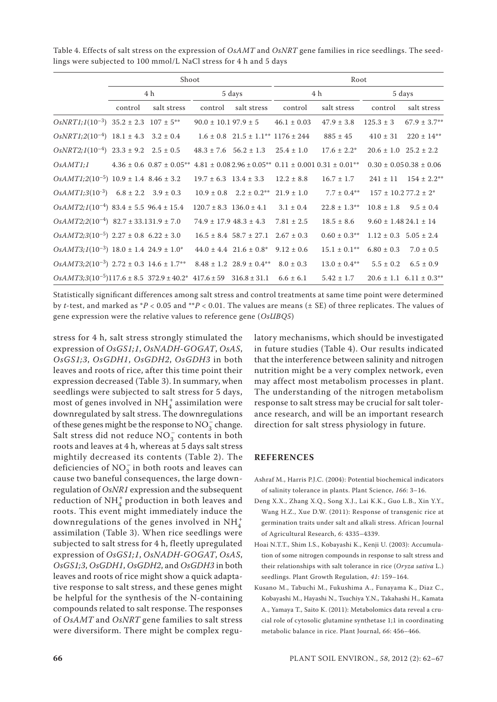|                                                                                                                             | Shoot   |             |         |                                                  | Root            |                   |                               |                                          |  |
|-----------------------------------------------------------------------------------------------------------------------------|---------|-------------|---------|--------------------------------------------------|-----------------|-------------------|-------------------------------|------------------------------------------|--|
|                                                                                                                             | 4 h     |             | 5 days  |                                                  | 4 h             |                   | 5 days                        |                                          |  |
|                                                                                                                             | control | salt stress | control | salt stress                                      | control         | salt stress       | control                       | salt stress                              |  |
| $OsNRT1;1(10^{-3})$ 35.2 ± 2.3 107 ± 5 <sup>**</sup>                                                                        |         |             |         | $90.0 \pm 10.197.9 \pm 5$                        | $46.1 \pm 0.03$ | $47.9 \pm 3.8$    | $125.3 \pm 3$                 | $67.9 \pm 3.7**$                         |  |
| $OsNRT1;2(10^{-4})$ 18.1 ± 4.3 3.2 ± 0.4                                                                                    |         |             |         | $1.6 \pm 0.8$ $21.5 \pm 1.1^{**}$ $1176 \pm 244$ |                 | $885 \pm 45$      | $410 \pm 31$                  | $220 \pm 14**$                           |  |
| $OsNRT2;1(10^{-4})$ 23.3 ± 9.2 2.5 ± 0.5                                                                                    |         |             |         | $48.3 \pm 7.6$ $56.2 \pm 1.3$ $25.4 \pm 1.0$     |                 | $17.6 \pm 2.2^*$  | $20.6 \pm 1.0$ $25.2 \pm 2.2$ |                                          |  |
| $OsAMT1;$ 4.36 ± 0.6 0.87 ± 0.05 <sup>**</sup> 4.81 ± 0.08 2.96 ± 0.05 <sup>**</sup> 0.11 ± 0.001 0.31 ± 0.01 <sup>**</sup> |         |             |         |                                                  |                 |                   |                               | $0.30 \pm 0.050.38 \pm 0.06$             |  |
| $OsAMT1;2(10^{-5})$ 10.9 ± 1.4 8.46 ± 3.2                                                                                   |         |             |         | $19.7 \pm 6.3$ $13.4 \pm 3.3$ $12.2 \pm 8.8$     |                 | $16.7 \pm 1.7$    |                               | $241 \pm 11$ $154 \pm 2.2$ <sup>**</sup> |  |
| $OsAMT1;3(10^{-3})$ 6.8 ± 2.2 3.9 ± 0.3                                                                                     |         |             |         | $10.9 \pm 0.8$ $2.2 \pm 0.2^{**}$ $21.9 \pm 1.0$ |                 | $7.7 \pm 0.4***$  | $157 \pm 10.277.2 \pm 2^*$    |                                          |  |
| $OsAMT2;1(10^{-4})$ 83.4 ± 5.5 96.4 ± 15.4                                                                                  |         |             |         | $120.7 \pm 8.3$ $136.0 \pm 4.1$ $3.1 \pm 0.4$    |                 | $22.8 \pm 1.3$ ** | $10.8 \pm 1.8$ $9.5 \pm 0.4$  |                                          |  |
| $OsAMT2;2(10^{-4})$ 82.7 ± 33.131.9 ± 7.0                                                                                   |         |             |         | $74.9 \pm 17.9$ $48.3 \pm 4.3$                   | $7.81 \pm 2.5$  | $18.5 \pm 8.6$    | $9.60 \pm 1.4824.1 \pm 14$    |                                          |  |
| $OsAMT2;3(10^{-5})$ 2.27 ± 0.8 6.22 ± 3.0                                                                                   |         |             |         | $16.5 \pm 8.4$ 58.7 $\pm$ 27.1 2.67 $\pm$ 0.3    |                 | $0.60 \pm 0.3$ ** | $1.12 \pm 0.3$ 5.05 $\pm$ 2.4 |                                          |  |
| $OsAMT3;1(10^{-3})$ 18.0 ± 1.4 24.9 ± 1.0 <sup>*</sup>                                                                      |         |             |         | $44.0 \pm 4.4$ 21.6 $\pm$ 0.8* 9.12 $\pm$ 0.6    |                 | $15.1 \pm 0.1$ ** | $6.80 \pm 0.3$                | $7.0 \pm 0.5$                            |  |
| $OsAMT3;2(10^{-3})$ 2.72 ± 0.3 14.6 ± 1.7 <sup>**</sup> 8.48 ± 1.2 28.9 ± 0.4 <sup>**</sup> 8.0 ± 0.3                       |         |             |         |                                                  |                 | $13.0 \pm 0.4$ ** | $5.5 \pm 0.2$                 | $6.5 \pm 0.9$                            |  |
| $OsAMT3;3(10^{-5})117.6 \pm 8.5$ 372.9 $\pm$ 40.2* 417.6 $\pm$ 59 316.8 $\pm$ 31.1 6.6 $\pm$ 6.1                            |         |             |         |                                                  |                 | $5.42 \pm 1.7$    |                               | $20.6 \pm 1.1$ 6.11 $\pm$ 0.3**          |  |

Table 4. Effects of salt stress on the expression of *OsAMT* and *OsNRT* gene families in rice seedlings. The seedlings were subjected to 100 mmol/L NaCl stress for 4 h and 5 days

Statistically significant differences among salt stress and control treatments at same time point were determined by *t*-test, and marked as \**P* < 0.05 and \*\**P* < 0.01. The values are means (± SE) of three replicates. The values of gene expression were the relative values to reference gene (*OsUBQ5*)

stress for 4 h, salt stress strongly stimulated the expression of *OsGS1;1*, *OsNADH-GOGAT*, *OsAS*, *OsGS1;3*, *OsGDH1*, *OsGDH2*, *OsGDH3* in both leaves and roots of rice, after this time point their expression decreased (Table 3). In summary, when seedlings were subjected to salt stress for 5 days, most of genes involved in NH $_4^+$  assimilation were downregulated by salt stress. The downregulations of these genes might be the response to  $NO_3^-$  change. Salt stress did not reduce  $NO_3^-$  contents in both roots and leaves at 4 h, whereas at 5 days salt stress mightily decreased its contents (Table 2). The deficiencies of  $NO_3^-$  in both roots and leaves can cause two baneful consequences, the large downregulation of *OsNR1* expression and the subsequent reduction of  $NH_4^+$  production in both leaves and roots. This event might immediately induce the downregulations of the genes involved in  $NH_4^+$ assimilation (Table 3). When rice seedlings were subjected to salt stress for 4 h, fleetly upregulated expression of *OsGS1;1*, *OsNADH-GOGAT*, *OsAS*, *OsGS1;3*, *OsGDH1*, *OsGDH2*, and *OsGDH3* in both leaves and roots of rice might show a quick adaptative response to salt stress, and these genes might be helpful for the synthesis of the N-containing compounds related to salt response. The responses of *OsAMT* and *OsNRT* gene families to salt stress were diversiform. There might be complex regulatory mechanisms, which should be investigated in future studies (Table 4). Our results indicated that the interference between salinity and nitrogen nutrition might be a very complex network, even may affect most metabolism processes in plant. The understanding of the nitrogen metabolism response to salt stress may be crucial for salt tolerance research, and will be an important research direction for salt stress physiology in future.

#### **REFERENCES**

- Ashraf M., Harris P.J.C. (2004): Potential biochemical indicators of salinity tolerance in plants. Plant Science, *166*: 3–16.
- Deng X.X., Zhang X.Q., Song X.J., Lai K.K., Guo L.B., Xin Y.Y., Wang H.Z., Xue D.W. (2011): Response of transgenic rice at germination traits under salt and alkali stress. African Journal of Agricultural Research, *6*: 4335–4339.
- Hoai N.T.T., Shim I.S., Kobayashi K., Kenji U. (2003): Accumulation of some nitrogen compounds in response to salt stress and their relationships with salt tolerance in rice (*Oryza sativa* L.) seedlings. Plant Growth Regulation, *41*: 159–164.
- Kusano M., Tabuchi M., Fukushima A., Funayama K., Diaz C., Kobayashi M., Hayashi N., Tsuchiya Y.N., Takahashi H., Kamata A., Yamaya T., Saito K. (2011): Metabolomics data reveal a crucial role of cytosolic glutamine synthetase 1;1 in coordinating metabolic balance in rice. Plant Journal, *66*: 456–466.